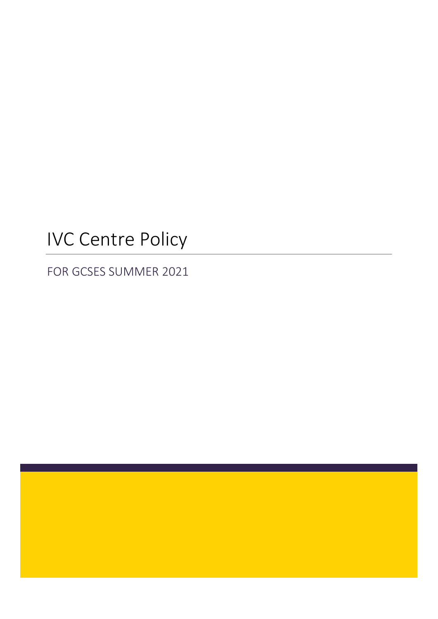# IVC Centre Policy

FOR GCSES SUMMER 2021

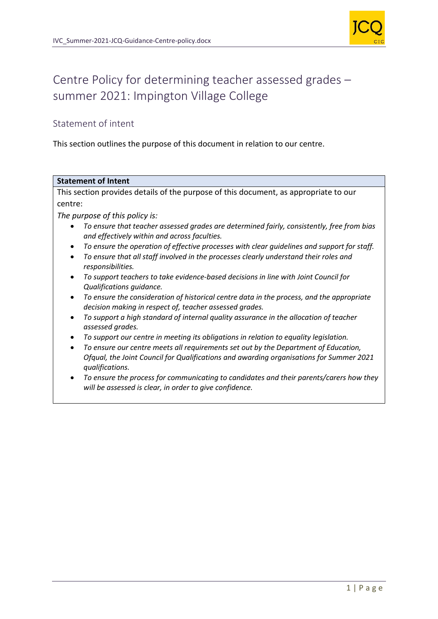

# Centre Policy for determining teacher assessed grades – summer 2021: Impington Village College

# Statement of intent

This section outlines the purpose of this document in relation to our centre.

#### **Statement of Intent**

This section provides details of the purpose of this document, as appropriate to our centre:

*The purpose of this policy is:* 

- *To ensure that teacher assessed grades are determined fairly, consistently, free from bias and effectively within and across faculties.*
- *To ensure the operation of effective processes with clear guidelines and support for staff.*
- *To ensure that all staff involved in the processes clearly understand their roles and responsibilities.*
- *To support teachers to take evidence-based decisions in line with Joint Council for Qualifications guidance.*
- *To ensure the consideration of historical centre data in the process, and the appropriate decision making in respect of, teacher assessed grades.*
- *To support a high standard of internal quality assurance in the allocation of teacher assessed grades.*
- *To support our centre in meeting its obligations in relation to equality legislation.*
- *To ensure our centre meets all requirements set out by the Department of Education, Ofqual, the Joint Council for Qualifications and awarding organisations for Summer 2021 qualifications.*
- *To ensure the process for communicating to candidates and their parents/carers how they will be assessed is clear, in order to give confidence.*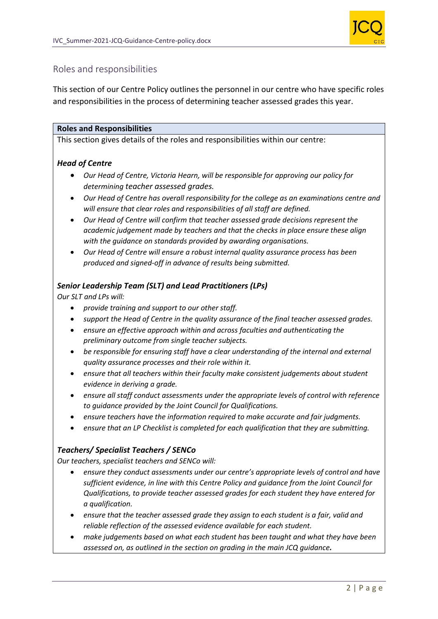

# Roles and responsibilities

This section of our Centre Policy outlines the personnel in our centre who have specific roles and responsibilities in the process of determining teacher assessed grades this year.

#### **Roles and Responsibilities**

This section gives details of the roles and responsibilities within our centre:

# *Head of Centre*

- *Our Head of Centre, Victoria Hearn, will be responsible for approving our policy for determining teacher assessed grades.*
- *Our Head of Centre has overall responsibility for the college as an examinations centre and will ensure that clear roles and responsibilities of all staff are defined.*
- *Our Head of Centre will confirm that teacher assessed grade decisions represent the academic judgement made by teachers and that the checks in place ensure these align with the guidance on standards provided by awarding organisations.*
- *Our Head of Centre will ensure a robust internal quality assurance process has been produced and signed-off in advance of results being submitted.*

# *Senior Leadership Team (SLT) and Lead Practitioners (LPs)*

*Our SLT and LPs will:*

- *provide training and support to our other staff.*
- *support the Head of Centre in the quality assurance of the final teacher assessed grades.*
- *ensure an effective approach within and across faculties and authenticating the preliminary outcome from single teacher subjects.*
- *be responsible for ensuring staff have a clear understanding of the internal and external quality assurance processes and their role within it.*
- *ensure that all teachers within their faculty make consistent judgements about student evidence in deriving a grade.*
- *ensure all staff conduct assessments under the appropriate levels of control with reference to guidance provided by the Joint Council for Qualifications.*
- *ensure teachers have the information required to make accurate and fair judgments.*
- *ensure that an LP Checklist is completed for each qualification that they are submitting.*

# *Teachers/ Specialist Teachers / SENCo*

*Our teachers, specialist teachers and SENCo will:*

- *ensure they conduct assessments under our centre's appropriate levels of control and have sufficient evidence, in line with this Centre Policy and guidance from the Joint Council for Qualifications, to provide teacher assessed grades for each student they have entered for a qualification.*
- *ensure that the teacher assessed grade they assign to each student is a fair, valid and reliable reflection of the assessed evidence available for each student.*
- *make judgements based on what each student has been taught and what they have been assessed on, as outlined in the section on grading in the main JCQ guidance.*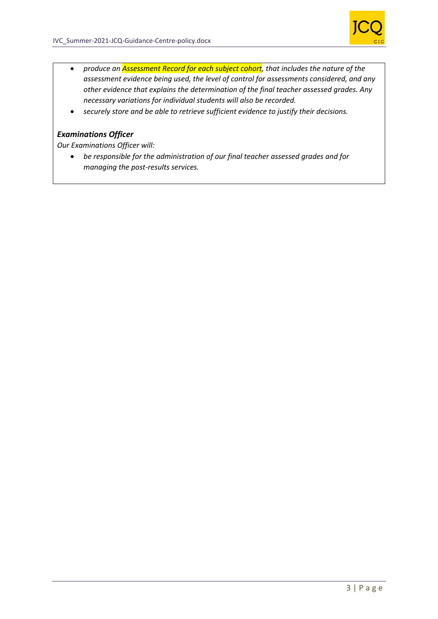

- *produce an Assessment Record for each subject cohort, that includes the nature of the assessment evidence being used, the level of control for assessments considered, and any other evidence that explains the determination of the final teacher assessed grades. Any necessary variations for individual students will also be recorded.*
- *securely store and be able to retrieve sufficient evidence to justify their decisions.*

# *Examinations Officer*

*Our Examinations Officer will:*

 *be responsible for the administration of our final teacher assessed grades and for managing the post-results services.*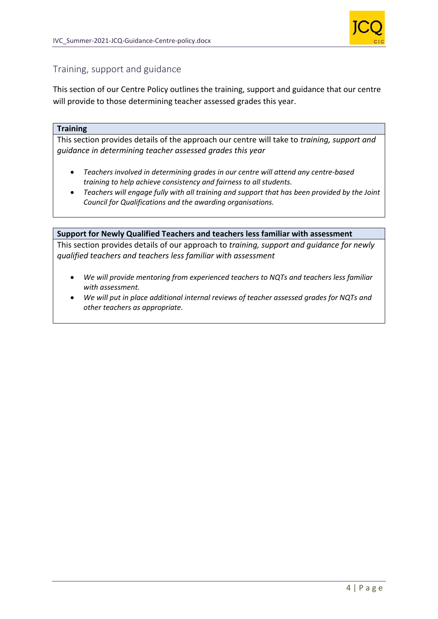

# Training, support and guidance

This section of our Centre Policy outlines the training, support and guidance that our centre will provide to those determining teacher assessed grades this year.

#### **Training**

This section provides details of the approach our centre will take to *training, support and guidance in determining teacher assessed grades this year*

- *Teachers involved in determining grades in our centre will attend any centre-based training to help achieve consistency and fairness to all students.*
- *Teachers will engage fully with all training and support that has been provided by the Joint Council for Qualifications and the awarding organisations.*

#### **Support for Newly Qualified Teachers and teachers less familiar with assessment**

This section provides details of our approach to *training, support and guidance for newly qualified teachers and teachers less familiar with assessment* 

- *We will provide mentoring from experienced teachers to NQTs and teachers less familiar with assessment.*
- *We will put in place additional internal reviews of teacher assessed grades for NQTs and other teachers as appropriate.*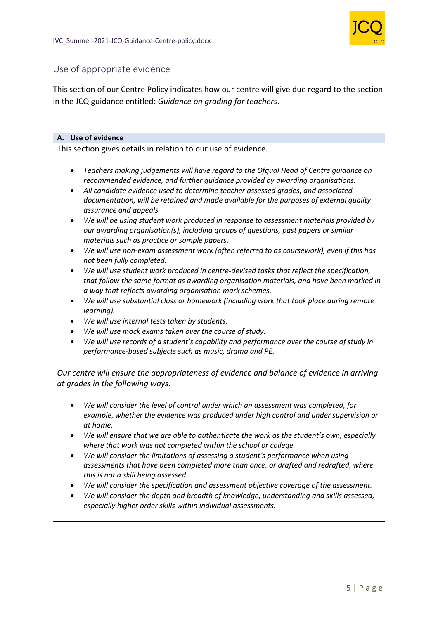

# Use of appropriate evidence

This section of our Centre Policy indicates how our centre will give due regard to the section in the JCQ guidance entitled: *Guidance on grading for teachers*.

# **A. Use of evidence**

This section gives details in relation to our use of evidence.

- *Teachers making judgements will have regard to the Ofqual Head of Centre guidance on recommended evidence, and further guidance provided by awarding organisations.*
- *All candidate evidence used to determine teacher assessed grades, and associated documentation, will be retained and made available for the purposes of external quality assurance and appeals.*
- *We will be using student work produced in response to assessment materials provided by our awarding organisation(s), including groups of questions, past papers or similar materials such as practice or sample papers.*
- *We will use non-exam assessment work (often referred to as coursework), even if this has not been fully completed.*
- *We will use student work produced in centre-devised tasks that reflect the specification, that follow the same format as awarding organisation materials, and have been marked in a way that reflects awarding organisation mark schemes.*
- *We will use substantial class or homework (including work that took place during remote learning).*
- *We will use internal tests taken by students.*
- *We will use mock exams taken over the course of study.*
- *We will use records of a student's capability and performance over the course of study in performance-based subjects such as music, drama and PE.*

*Our centre will ensure the appropriateness of evidence and balance of evidence in arriving at grades in the following ways:* 

- *We will consider the level of control under which an assessment was completed, for example, whether the evidence was produced under high control and under supervision or at home.*
- *We will ensure that we are able to authenticate the work as the student's own, especially where that work was not completed within the school or college.*
- *We will consider the limitations of assessing a student's performance when using assessments that have been completed more than once, or drafted and redrafted, where this is not a skill being assessed.*
- *We will consider the specification and assessment objective coverage of the assessment.*
- *We will consider the depth and breadth of knowledge, understanding and skills assessed, especially higher order skills within individual assessments.*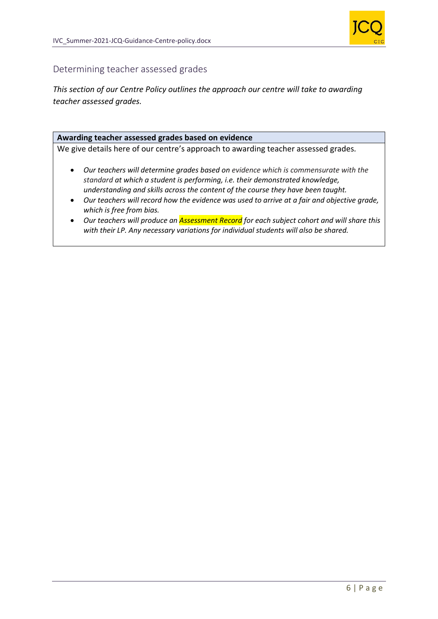

# Determining teacher assessed grades

*This section of our Centre Policy outlines the approach our centre will take to awarding teacher assessed grades.* 

#### **Awarding teacher assessed grades based on evidence**

We give details here of our centre's approach to awarding teacher assessed grades*.* 

- *Our teachers will determine grades based on evidence which is commensurate with the standard at which a student is performing, i.e. their demonstrated knowledge, understanding and skills across the content of the course they have been taught.*
- *Our teachers will record how the evidence was used to arrive at a fair and objective grade, which is free from bias.*
- *Our teachers will produce an Assessment Record for each subject cohort and will share this with their LP. Any necessary variations for individual students will also be shared.*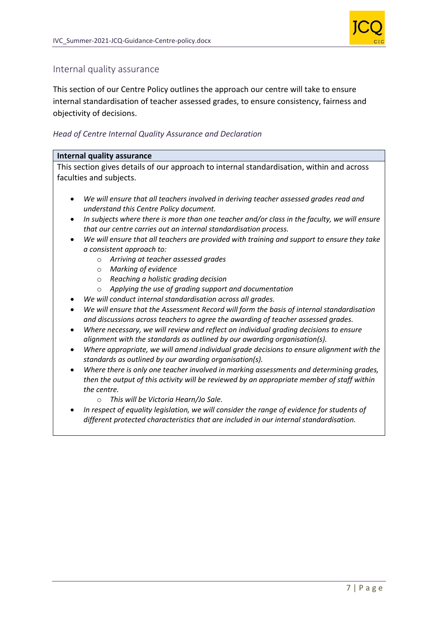

# Internal quality assurance

This section of our Centre Policy outlines the approach our centre will take to ensure internal standardisation of teacher assessed grades, to ensure consistency, fairness and objectivity of decisions.

# *Head of Centre Internal Quality Assurance and Declaration*

#### **Internal quality assurance**

This section gives details of our approach to internal standardisation, within and across faculties and subjects.

- *We will ensure that all teachers involved in deriving teacher assessed grades read and understand this Centre Policy document.*
- *In subjects where there is more than one teacher and/or class in the faculty, we will ensure that our centre carries out an internal standardisation process.*
- *We will ensure that all teachers are provided with training and support to ensure they take a consistent approach to:* 
	- o *Arriving at teacher assessed grades*
	- o *Marking of evidence*
	- o *Reaching a holistic grading decision*
	- o *Applying the use of grading support and documentation*
- *We will conduct internal standardisation across all grades.*
- *We will ensure that the Assessment Record will form the basis of internal standardisation and discussions across teachers to agree the awarding of teacher assessed grades.*
- *Where necessary, we will review and reflect on individual grading decisions to ensure alignment with the standards as outlined by our awarding organisation(s).*
- *Where appropriate, we will amend individual grade decisions to ensure alignment with the standards as outlined by our awarding organisation(s).*
- *Where there is only one teacher involved in marking assessments and determining grades, then the output of this activity will be reviewed by an appropriate member of staff within the centre.* 
	- o *This will be Victoria Hearn/Jo Sale.*
- *In respect of equality legislation, we will consider the range of evidence for students of different protected characteristics that are included in our internal standardisation.*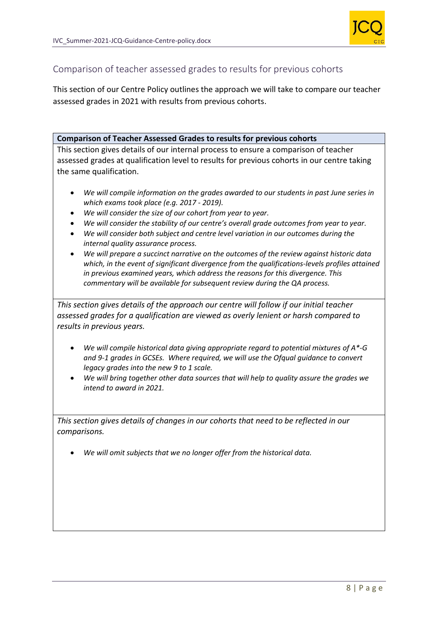

# Comparison of teacher assessed grades to results for previous cohorts

This section of our Centre Policy outlines the approach we will take to compare our teacher assessed grades in 2021 with results from previous cohorts.

#### **Comparison of Teacher Assessed Grades to results for previous cohorts**

This section gives details of our internal process to ensure a comparison of teacher assessed grades at qualification level to results for previous cohorts in our centre taking the same qualification.

- *We will compile information on the grades awarded to our students in past June series in which exams took place (e.g. 2017 - 2019).*
- *We will consider the size of our cohort from year to year.*
- *We will consider the stability of our centre's overall grade outcomes from year to year.*
- *We will consider both subject and centre level variation in our outcomes during the internal quality assurance process.*
- *We will prepare a succinct narrative on the outcomes of the review against historic data which, in the event of significant divergence from the qualifications-levels profiles attained in previous examined years, which address the reasons for this divergence. This commentary will be available for subsequent review during the QA process.*

*This section gives details of the approach our centre will follow if our initial teacher assessed grades for a qualification are viewed as overly lenient or harsh compared to results in previous years.* 

- *We will compile historical data giving appropriate regard to potential mixtures of A\*-G and 9-1 grades in GCSEs. Where required, we will use the Ofqual guidance to convert legacy grades into the new 9 to 1 scale.*
- *We will bring together other data sources that will help to quality assure the grades we intend to award in 2021.*

*This section gives details of changes in our cohorts that need to be reflected in our comparisons.* 

*We will omit subjects that we no longer offer from the historical data.*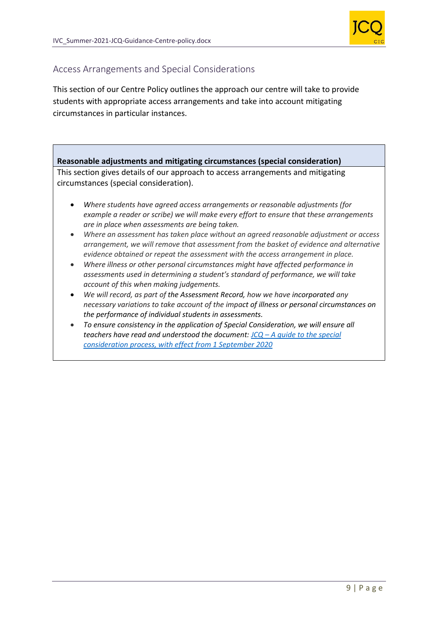

# Access Arrangements and Special Considerations

This section of our Centre Policy outlines the approach our centre will take to provide students with appropriate access arrangements and take into account mitigating circumstances in particular instances.

# **Reasonable adjustments and mitigating circumstances (special consideration)**

This section gives details of our approach to access arrangements and mitigating circumstances (special consideration).

- *Where students have agreed access arrangements or reasonable adjustments (for example a reader or scribe) we will make every effort to ensure that these arrangements are in place when assessments are being taken.*
- *Where an assessment has taken place without an agreed reasonable adjustment or access arrangement, we will remove that assessment from the basket of evidence and alternative evidence obtained or repeat the assessment with the access arrangement in place.*
- *Where illness or other personal circumstances might have affected performance in assessments used in determining a student's standard of performance, we will take account of this when making judgements.*
- *We will record, as part of the Assessment Record, how we have incorporated any necessary variations to take account of the impact of illness or personal circumstances on the performance of individual students in assessments.*
- *To ensure consistency in the application of Special Consideration, we will ensure all teachers have read and understood the document: JCQ – [A guide to the special](https://www.jcq.org.uk/wp-content/uploads/2020/08/A-guide-to-the-spec-con-process-202021-Website-version.pdf)  [consideration process, with effect from 1 September 2020](https://www.jcq.org.uk/wp-content/uploads/2020/08/A-guide-to-the-spec-con-process-202021-Website-version.pdf)*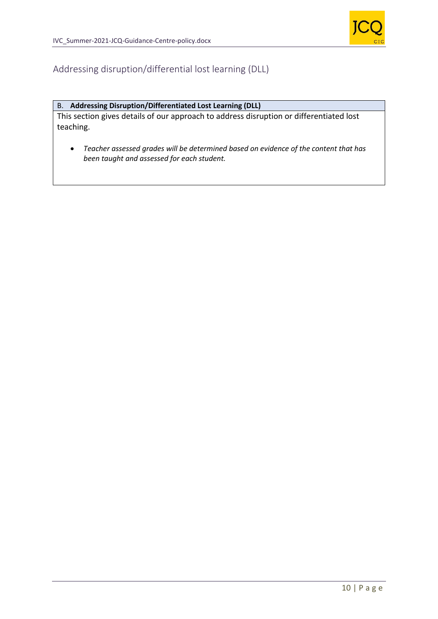

# Addressing disruption/differential lost learning (DLL)

# B. **Addressing Disruption/Differentiated Lost Learning (DLL)**

This section gives details of our approach to address disruption or differentiated lost teaching.

 *Teacher assessed grades will be determined based on evidence of the content that has been taught and assessed for each student.*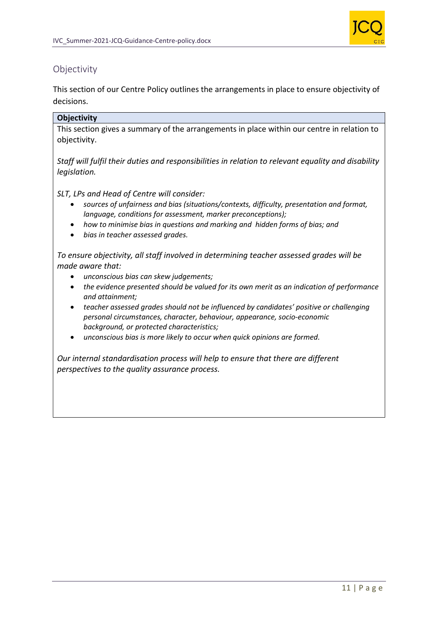

# **Objectivity**

This section of our Centre Policy outlines the arrangements in place to ensure objectivity of decisions.

# **Objectivity**

This section gives a summary of the arrangements in place within our centre in relation to objectivity.

*Staff will fulfil their duties and responsibilities in relation to relevant equality and disability legislation.* 

*SLT, LPs and Head of Centre will consider:* 

- *sources of unfairness and bias (situations/contexts, difficulty, presentation and format, language, conditions for assessment, marker preconceptions);*
- *how to minimise bias in questions and marking and hidden forms of bias; and*
- *bias in teacher assessed grades.*

*To ensure objectivity, all staff involved in determining teacher assessed grades will be made aware that:* 

- *unconscious bias can skew judgements;*
- *the evidence presented should be valued for its own merit as an indication of performance and attainment;*
- *teacher assessed grades should not be influenced by candidates' positive or challenging personal circumstances, character, behaviour, appearance, socio-economic background, or protected characteristics;*
- *unconscious bias is more likely to occur when quick opinions are formed.*

*Our internal standardisation process will help to ensure that there are different perspectives to the quality assurance process.*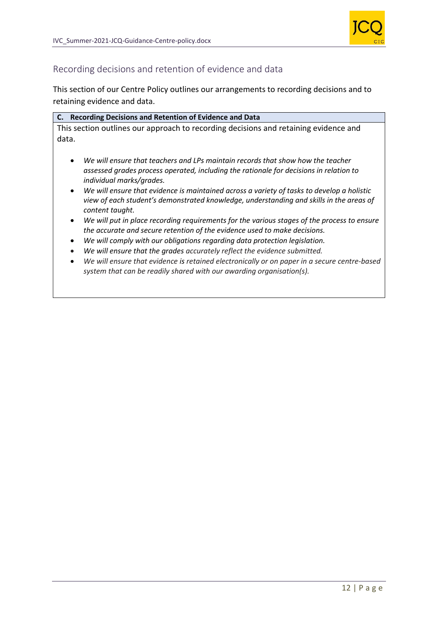

# Recording decisions and retention of evidence and data

This section of our Centre Policy outlines our arrangements to recording decisions and to retaining evidence and data.

| C. Recording Decisions and Retention of Evidence and Data                            |                                                                                                                                                                           |
|--------------------------------------------------------------------------------------|---------------------------------------------------------------------------------------------------------------------------------------------------------------------------|
| This section outlines our approach to recording decisions and retaining evidence and |                                                                                                                                                                           |
| data.                                                                                |                                                                                                                                                                           |
|                                                                                      |                                                                                                                                                                           |
| $\bullet$                                                                            | We will ensure that teachers and LPs maintain records that show how the teacher<br>assessed grades process operated, including the rationale for decisions in relation to |
|                                                                                      | individual marks/grades.                                                                                                                                                  |
| $\bullet$                                                                            | We will ensure that evidence is maintained across a variety of tasks to develop a holistic                                                                                |
|                                                                                      | view of each student's demonstrated knowledge, understanding and skills in the areas of<br>content taught.                                                                |
| $\bullet$                                                                            | We will put in place recording requirements for the various stages of the process to ensure<br>the accurate and secure retention of the evidence used to make decisions.  |
|                                                                                      | We will comply with our obligations regarding data protection legislation.                                                                                                |
|                                                                                      | We will ensure that the grades accurately reflect the evidence submitted.                                                                                                 |
|                                                                                      | We will ensure that evidence is retained electronically or on paper in a secure centre-based<br>system that can be readily shared with our awarding organisation(s).      |
|                                                                                      |                                                                                                                                                                           |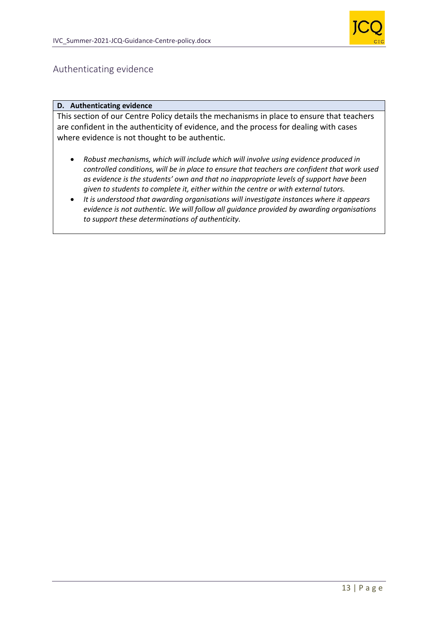

# Authenticating evidence

#### **D. Authenticating evidence**

This section of our Centre Policy details the mechanisms in place to ensure that teachers are confident in the authenticity of evidence, and the process for dealing with cases where evidence is not thought to be authentic.

- *Robust mechanisms, which will include which will involve using evidence produced in controlled conditions, will be in place to ensure that teachers are confident that work used as evidence is the students' own and that no inappropriate levels of support have been given to students to complete it, either within the centre or with external tutors.*
- *It is understood that awarding organisations will investigate instances where it appears evidence is not authentic. We will follow all guidance provided by awarding organisations to support these determinations of authenticity.*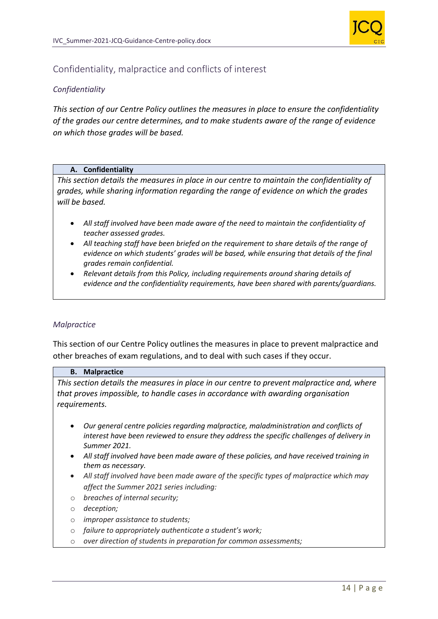

# Confidentiality, malpractice and conflicts of interest

# *Confidentiality*

*This section of our Centre Policy outlines the measures in place to ensure the confidentiality of the grades our centre determines, and to make students aware of the range of evidence on which those grades will be based.* 

#### **A. Confidentiality**

*This section details the measures in place in our centre to maintain the confidentiality of grades, while sharing information regarding the range of evidence on which the grades will be based.* 

- *All staff involved have been made aware of the need to maintain the confidentiality of teacher assessed grades.*
- *All teaching staff have been briefed on the requirement to share details of the range of evidence on which students' grades will be based, while ensuring that details of the final grades remain confidential.*
- *Relevant details from this Policy, including requirements around sharing details of evidence and the confidentiality requirements, have been shared with parents/guardians.*

#### *Malpractice*

This section of our Centre Policy outlines the measures in place to prevent malpractice and other breaches of exam regulations, and to deal with such cases if they occur.

#### **B. Malpractice**

*This section details the measures in place in our centre to prevent malpractice and, where that proves impossible, to handle cases in accordance with awarding organisation requirements.* 

- *Our general centre policies regarding malpractice, maladministration and conflicts of interest have been reviewed to ensure they address the specific challenges of delivery in Summer 2021.*
- *All staff involved have been made aware of these policies, and have received training in them as necessary.*
- *All staff involved have been made aware of the specific types of malpractice which may affect the Summer 2021 series including:*
- o *breaches of internal security;*
- o *deception;*
- o *improper assistance to students;*
- o *failure to appropriately authenticate a student's work;*
- o *over direction of students in preparation for common assessments;*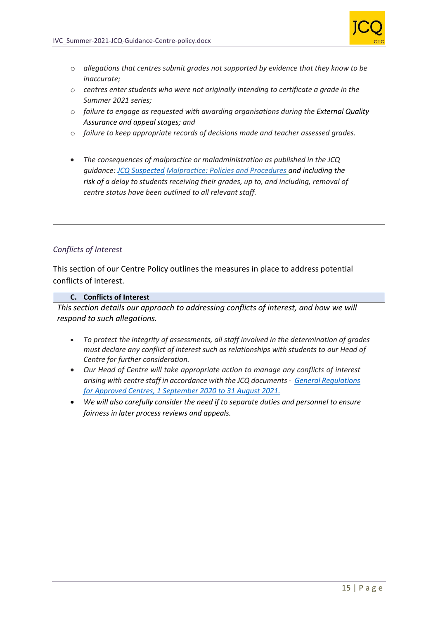

- o *allegations that centres submit grades not supported by evidence that they know to be inaccurate;*
- o *centres enter students who were not originally intending to certificate a grade in the Summer 2021 series;*
- o *failure to engage as requested with awarding organisations during the External Quality Assurance and appeal stages; and*
- o *failure to keep appropriate records of decisions made and teacher assessed grades.*
- *The consequences of malpractice or maladministration as published in the JCQ guidance: [JCQ Suspected](https://www.jcq.org.uk/exams-office/malpractice/jcq-suspected-malpractice-policies-and-procedures-2019-2020) Malpractice: Policies and Procedures and including the risk of a delay to students receiving their grades, up to, and including, removal of centre status have been outlined to all relevant staff.*

# *Conflicts of Interest*

This section of our Centre Policy outlines the measures in place to address potential conflicts of interest.

#### **C. Conflicts of Interest**

*This section details our approach to addressing conflicts of interest, and how we will respond to such allegations.* 

- *To protect the integrity of assessments, all staff involved in the determination of grades must declare any conflict of interest such as relationships with students to our Head of Centre for further consideration.*
- *Our Head of Centre will take appropriate action to manage any conflicts of interest arising with centre staff in accordance with the JCQ documents - [General Regulations](https://www.jcq.org.uk/wp-content/uploads/2020/09/Gen_regs_approved_centres_20-21_FINAL.pdf)  [for Approved Centres, 1 September 2020 to 31 August 2021.](https://www.jcq.org.uk/wp-content/uploads/2020/09/Gen_regs_approved_centres_20-21_FINAL.pdf)*
- *We will also carefully consider the need if to separate duties and personnel to ensure fairness in later process reviews and appeals.*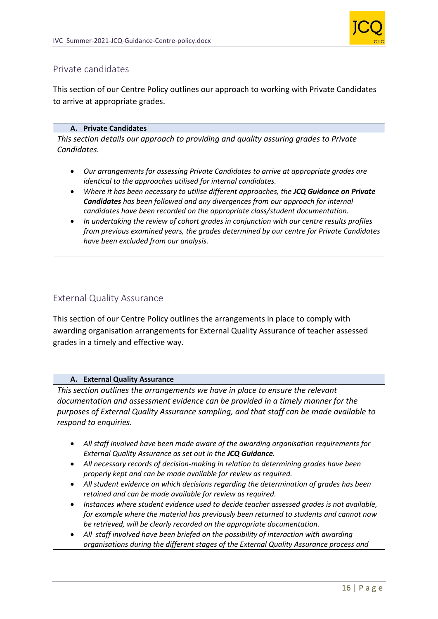

# Private candidates

This section of our Centre Policy outlines our approach to working with Private Candidates to arrive at appropriate grades.

#### **A. Private Candidates**

*This section details our approach to providing and quality assuring grades to Private Candidates.* 

- *Our arrangements for assessing Private Candidates to arrive at appropriate grades are identical to the approaches utilised for internal candidates.*
- *Where it has been necessary to utilise different approaches, the JCQ Guidance on Private Candidates has been followed and any divergences from our approach for internal candidates have been recorded on the appropriate class/student documentation.*
- *In undertaking the review of cohort grades in conjunction with our centre results profiles from previous examined years, the grades determined by our centre for Private Candidates have been excluded from our analysis.*

# External Quality Assurance

This section of our Centre Policy outlines the arrangements in place to comply with awarding organisation arrangements for External Quality Assurance of teacher assessed grades in a timely and effective way.

#### **A. External Quality Assurance**

*This section outlines the arrangements we have in place to ensure the relevant documentation and assessment evidence can be provided in a timely manner for the purposes of External Quality Assurance sampling, and that staff can be made available to respond to enquiries.* 

- *All staff involved have been made aware of the awarding organisation requirements for External Quality Assurance as set out in the JCQ Guidance.*
- *All necessary records of decision-making in relation to determining grades have been properly kept and can be made available for review as required.*
- *All student evidence on which decisions regarding the determination of grades has been retained and can be made available for review as required.*
- *Instances where student evidence used to decide teacher assessed grades is not available, for example where the material has previously been returned to students and cannot now be retrieved, will be clearly recorded on the appropriate documentation.*
- *All staff involved have been briefed on the possibility of interaction with awarding organisations during the different stages of the External Quality Assurance process and*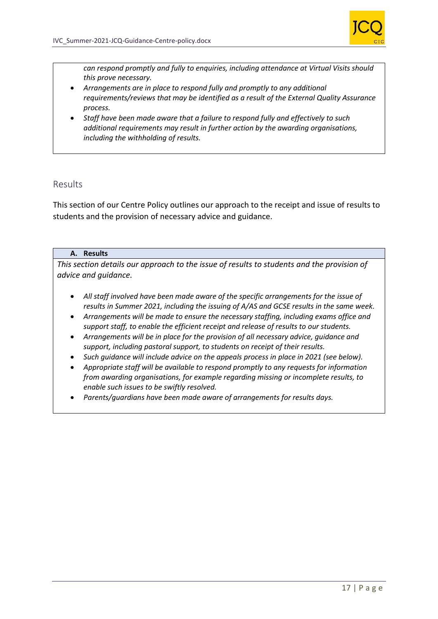

*can respond promptly and fully to enquiries, including attendance at Virtual Visits should this prove necessary.* 

- *Arrangements are in place to respond fully and promptly to any additional requirements/reviews that may be identified as a result of the External Quality Assurance process.*
- *Staff have been made aware that a failure to respond fully and effectively to such additional requirements may result in further action by the awarding organisations, including the withholding of results.*

# Results

This section of our Centre Policy outlines our approach to the receipt and issue of results to students and the provision of necessary advice and guidance.

#### **A. Results**

*This section details our approach to the issue of results to students and the provision of advice and guidance.* 

- *All staff involved have been made aware of the specific arrangements for the issue of results in Summer 2021, including the issuing of A/AS and GCSE results in the same week.*
- *Arrangements will be made to ensure the necessary staffing, including exams office and support staff, to enable the efficient receipt and release of results to our students.*
- *Arrangements will be in place for the provision of all necessary advice, guidance and support, including pastoral support, to students on receipt of their results.*
- *Such guidance will include advice on the appeals process in place in 2021 (see below).*
- *Appropriate staff will be available to respond promptly to any requests for information from awarding organisations, for example regarding missing or incomplete results, to enable such issues to be swiftly resolved.*
- *Parents/guardians have been made aware of arrangements for results days.*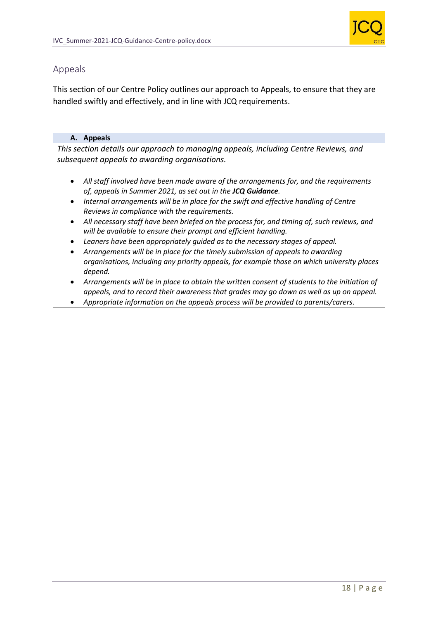

# Appeals

This section of our Centre Policy outlines our approach to Appeals, to ensure that they are handled swiftly and effectively, and in line with JCQ requirements.

# **A. Appeals**

*This section details our approach to managing appeals, including Centre Reviews, and subsequent appeals to awarding organisations.* 

- *All staff involved have been made aware of the arrangements for, and the requirements of, appeals in Summer 2021, as set out in the JCQ Guidance.*
- *Internal arrangements will be in place for the swift and effective handling of Centre Reviews in compliance with the requirements.*
- *All necessary staff have been briefed on the process for, and timing of, such reviews, and will be available to ensure their prompt and efficient handling.*
- *Leaners have been appropriately guided as to the necessary stages of appeal.*
- *Arrangements will be in place for the timely submission of appeals to awarding organisations, including any priority appeals, for example those on which university places depend.*
- *Arrangements will be in place to obtain the written consent of students to the initiation of appeals, and to record their awareness that grades may go down as well as up on appeal.*
- *Appropriate information on the appeals process will be provided to parents/carers*.